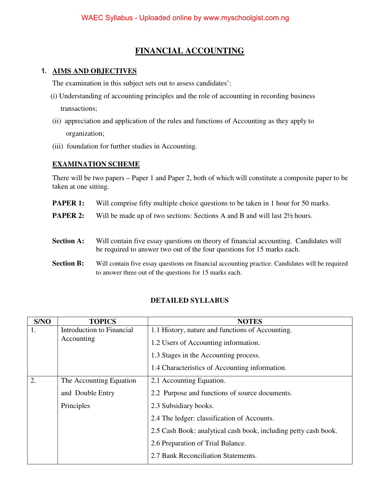## **FINANCIAL ACCOUNTING**

### **1. AIMS AND OBJECTIVES**

The examination in this subject sets out to assess candidates':

- (i) Understanding of accounting principles and the role of accounting in recording business transactions;
- (ii) appreciation and application of the rules and functions of Accounting as they apply to organization;
- (iii) foundation for further studies in Accounting.

#### **EXAMINATION SCHEME**

There will be two papers – Paper 1 and Paper 2, both of which will constitute a composite paper to be taken at one sitting.

- **PAPER 1:** Will comprise fifty multiple choice questions to be taken in 1 hour for 50 marks.
- **PAPER 2:** Will be made up of two sections: Sections A and B and will last  $2\frac{1}{2}$  hours.
- **Section A:** Will contain five essay questions on theory of financial accounting. Candidates will be required to answer two out of the four questions for 15 marks each.
- **Section B:** Will contain five essay questions on financial accounting practice. Candidates will be required to answer three out of the questions for 15 marks each.

### **DETAILED SYLLABUS**

| S/NO | <b>TOPICS</b>             | <b>NOTES</b>                                                    |  |
|------|---------------------------|-----------------------------------------------------------------|--|
| 1.   | Introduction to Financial | 1.1 History, nature and functions of Accounting.                |  |
|      | Accounting                | 1.2 Users of Accounting information.                            |  |
|      |                           | 1.3 Stages in the Accounting process.                           |  |
|      |                           | 1.4 Characteristics of Accounting information.                  |  |
| 2.   | The Accounting Equation   | 2.1 Accounting Equation.                                        |  |
|      | and Double Entry          | 2.2 Purpose and functions of source documents.                  |  |
|      | Principles                | 2.3 Subsidiary books.                                           |  |
|      |                           | 2.4 The ledger: classification of Accounts.                     |  |
|      |                           | 2.5 Cash Book: analytical cash book, including petty cash book. |  |
|      |                           | 2.6 Preparation of Trial Balance.                               |  |
|      |                           | 2.7 Bank Reconciliation Statements.                             |  |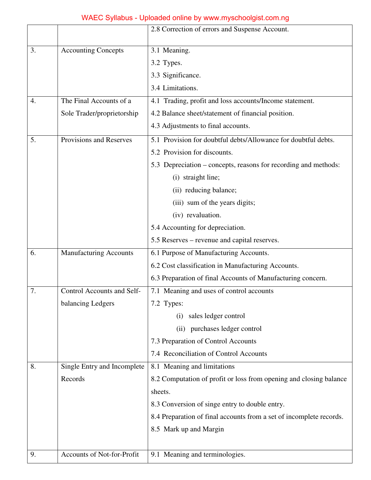## WAEC Syllabus - Uploaded online by www.myschoolgist.com.ng

|    |                               | 2.8 Correction of errors and Suspense Account.                      |  |  |  |
|----|-------------------------------|---------------------------------------------------------------------|--|--|--|
| 3. | <b>Accounting Concepts</b>    | 3.1 Meaning.                                                        |  |  |  |
|    |                               | 3.2 Types.                                                          |  |  |  |
|    |                               | 3.3 Significance.                                                   |  |  |  |
|    |                               | 3.4 Limitations.                                                    |  |  |  |
| 4. | The Final Accounts of a       | 4.1 Trading, profit and loss accounts/Income statement.             |  |  |  |
|    | Sole Trader/proprietorship    | 4.2 Balance sheet/statement of financial position.                  |  |  |  |
|    |                               | 4.3 Adjustments to final accounts.                                  |  |  |  |
| 5. | Provisions and Reserves       | 5.1 Provision for doubtful debts/Allowance for doubtful debts.      |  |  |  |
|    |                               | 5.2 Provision for discounts.                                        |  |  |  |
|    |                               | 5.3 Depreciation – concepts, reasons for recording and methods:     |  |  |  |
|    |                               | (i) straight line;                                                  |  |  |  |
|    |                               | (ii) reducing balance;                                              |  |  |  |
|    |                               | (iii) sum of the years digits;                                      |  |  |  |
|    |                               | (iv) revaluation.                                                   |  |  |  |
|    |                               | 5.4 Accounting for depreciation.                                    |  |  |  |
|    |                               | 5.5 Reserves – revenue and capital reserves.                        |  |  |  |
| 6. | <b>Manufacturing Accounts</b> | 6.1 Purpose of Manufacturing Accounts.                              |  |  |  |
|    |                               | 6.2 Cost classification in Manufacturing Accounts.                  |  |  |  |
|    |                               | 6.3 Preparation of final Accounts of Manufacturing concern.         |  |  |  |
| 7. | Control Accounts and Self-    | 7.1 Meaning and uses of control accounts                            |  |  |  |
|    | balancing Ledgers             | 7.2 Types:                                                          |  |  |  |
|    |                               | sales ledger control<br>(i)                                         |  |  |  |
|    |                               | (ii) purchases ledger control                                       |  |  |  |
|    |                               | 7.3 Preparation of Control Accounts                                 |  |  |  |
|    |                               | 7.4 Reconciliation of Control Accounts                              |  |  |  |
| 8. | Single Entry and Incomplete   | 8.1 Meaning and limitations                                         |  |  |  |
|    | Records                       | 8.2 Computation of profit or loss from opening and closing balance  |  |  |  |
|    |                               | sheets.                                                             |  |  |  |
|    |                               | 8.3 Conversion of singe entry to double entry.                      |  |  |  |
|    |                               | 8.4 Preparation of final accounts from a set of incomplete records. |  |  |  |
|    |                               | 8.5 Mark up and Margin                                              |  |  |  |
|    |                               |                                                                     |  |  |  |
| 9. | Accounts of Not-for-Profit    | 9.1 Meaning and terminologies.                                      |  |  |  |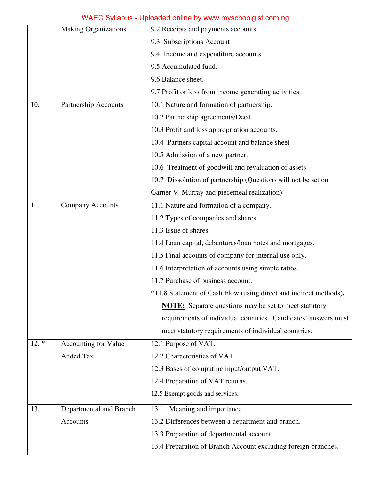# WAEC Syllabus - Uploaded online by www.myschoolgist.com.ng

| <b>Making Organizations</b>    |                             | 9.2 Receipts and payments accounts.                               |  |  |
|--------------------------------|-----------------------------|-------------------------------------------------------------------|--|--|
|                                |                             | 9.3 Subscriptions Account                                         |  |  |
|                                |                             | 9.4. Income and expenditure accounts.                             |  |  |
|                                |                             | 9.5 Accumulated fund.                                             |  |  |
|                                |                             | 9.6 Balance sheet.                                                |  |  |
|                                |                             | 9.7 Profit or loss from income generating activities.             |  |  |
| 10.<br>Partnership Accounts    |                             | 10.1 Nature and formation of partnership.                         |  |  |
|                                |                             | 10.2 Partnership agreements/Deed.                                 |  |  |
|                                |                             | 10.3 Profit and loss appropriation accounts.                      |  |  |
|                                |                             | 10.4 Partners capital account and balance sheet                   |  |  |
|                                |                             | 10.5 Admission of a new partner.                                  |  |  |
|                                |                             | 10.6 Treatment of goodwill and revaluation of assets              |  |  |
|                                |                             | 10.7 Dissolution of partnership (Questions will not be set on     |  |  |
|                                |                             | Garner V. Murray and piecemeal realization)                       |  |  |
| 11.<br><b>Company Accounts</b> |                             | 11.1 Nature and formation of a company.                           |  |  |
|                                |                             | 11.2 Types of companies and shares.                               |  |  |
|                                |                             | 11.3 Issue of shares.                                             |  |  |
|                                |                             | 11.4 Loan capital, debentures/loan notes and mortgages.           |  |  |
|                                |                             | 11.5 Final accounts of company for internal use only.             |  |  |
|                                |                             | 11.6 Interpretation of accounts using simple ratios.              |  |  |
|                                |                             | 11.7 Purchase of business account.                                |  |  |
|                                |                             | *11.8 Statement of Cash Flow (using direct and indirect methods). |  |  |
|                                |                             | <b>NOTE:</b> Separate questions may be set to meet statutory      |  |  |
|                                |                             | requirements of individual countries. Candidates' answers must    |  |  |
|                                |                             | meet statutory requirements of individual countries.              |  |  |
| $12.*$                         | <b>Accounting for Value</b> | 12.1 Purpose of VAT.                                              |  |  |
|                                | <b>Added Tax</b>            | 12.2 Characteristics of VAT.                                      |  |  |
|                                |                             | 12.3 Bases of computing input/output VAT.                         |  |  |
|                                |                             | 12.4 Preparation of VAT returns.                                  |  |  |
|                                |                             | 12.5 Exempt goods and services.                                   |  |  |
| 13.                            | Departmental and Branch     | 13.1 Meaning and importance                                       |  |  |
|                                | Accounts                    | 13.2 Differences between a department and branch.                 |  |  |
|                                |                             | 13.3 Preparation of departmental account.                         |  |  |
|                                |                             | 13.4 Preparation of Branch Account excluding foreign branches.    |  |  |
|                                |                             |                                                                   |  |  |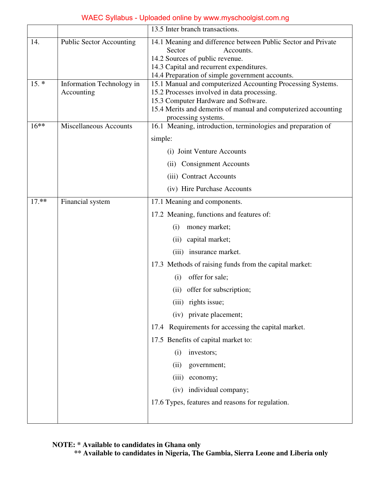|         |                                         | 13.5 Inter branch transactions.                                                                                                                                                                                                             |  |  |
|---------|-----------------------------------------|---------------------------------------------------------------------------------------------------------------------------------------------------------------------------------------------------------------------------------------------|--|--|
| 14.     | <b>Public Sector Accounting</b>         | 14.1 Meaning and difference between Public Sector and Private<br>Sector<br>Accounts.<br>14.2 Sources of public revenue.<br>14.3 Capital and recurrent expenditures.<br>14.4 Preparation of simple government accounts.                      |  |  |
| $15. *$ | Information Technology in<br>Accounting | 15.1 Manual and computerized Accounting Processing Systems.<br>15.2 Processes involved in data processing.<br>15.3 Computer Hardware and Software.<br>15.4 Merits and demerits of manual and computerized accounting<br>processing systems. |  |  |
| $16***$ | <b>Miscellaneous Accounts</b>           | 16.1 Meaning, introduction, terminologies and preparation of                                                                                                                                                                                |  |  |
|         |                                         | simple:                                                                                                                                                                                                                                     |  |  |
|         |                                         | (i) Joint Venture Accounts                                                                                                                                                                                                                  |  |  |
|         |                                         | (ii) Consignment Accounts                                                                                                                                                                                                                   |  |  |
|         |                                         | (iii) Contract Accounts                                                                                                                                                                                                                     |  |  |
|         |                                         | (iv) Hire Purchase Accounts                                                                                                                                                                                                                 |  |  |
| $17.**$ | Financial system                        | 17.1 Meaning and components.                                                                                                                                                                                                                |  |  |
|         |                                         | 17.2 Meaning, functions and features of:                                                                                                                                                                                                    |  |  |
|         |                                         | (i)<br>money market;                                                                                                                                                                                                                        |  |  |
|         |                                         | capital market;<br>(ii)                                                                                                                                                                                                                     |  |  |
|         |                                         | (iii) insurance market.                                                                                                                                                                                                                     |  |  |
|         |                                         | 17.3 Methods of raising funds from the capital market:                                                                                                                                                                                      |  |  |
|         |                                         | offer for sale;<br>(i)                                                                                                                                                                                                                      |  |  |
|         |                                         | (ii) offer for subscription;                                                                                                                                                                                                                |  |  |
|         |                                         | (iii) rights issue;                                                                                                                                                                                                                         |  |  |
|         |                                         | (iv) private placement;                                                                                                                                                                                                                     |  |  |
|         |                                         | 17.4 Requirements for accessing the capital market.                                                                                                                                                                                         |  |  |
|         |                                         | 17.5 Benefits of capital market to:                                                                                                                                                                                                         |  |  |
|         |                                         | investors;<br>(i)                                                                                                                                                                                                                           |  |  |
|         |                                         | (ii)<br>government;                                                                                                                                                                                                                         |  |  |
|         |                                         | economy;<br>(iii)                                                                                                                                                                                                                           |  |  |
|         |                                         | (iv) individual company;                                                                                                                                                                                                                    |  |  |
|         |                                         | 17.6 Types, features and reasons for regulation.                                                                                                                                                                                            |  |  |
|         |                                         |                                                                                                                                                                                                                                             |  |  |

## WAEC Syllabus - Uploaded online by www.myschoolgist.com.ng